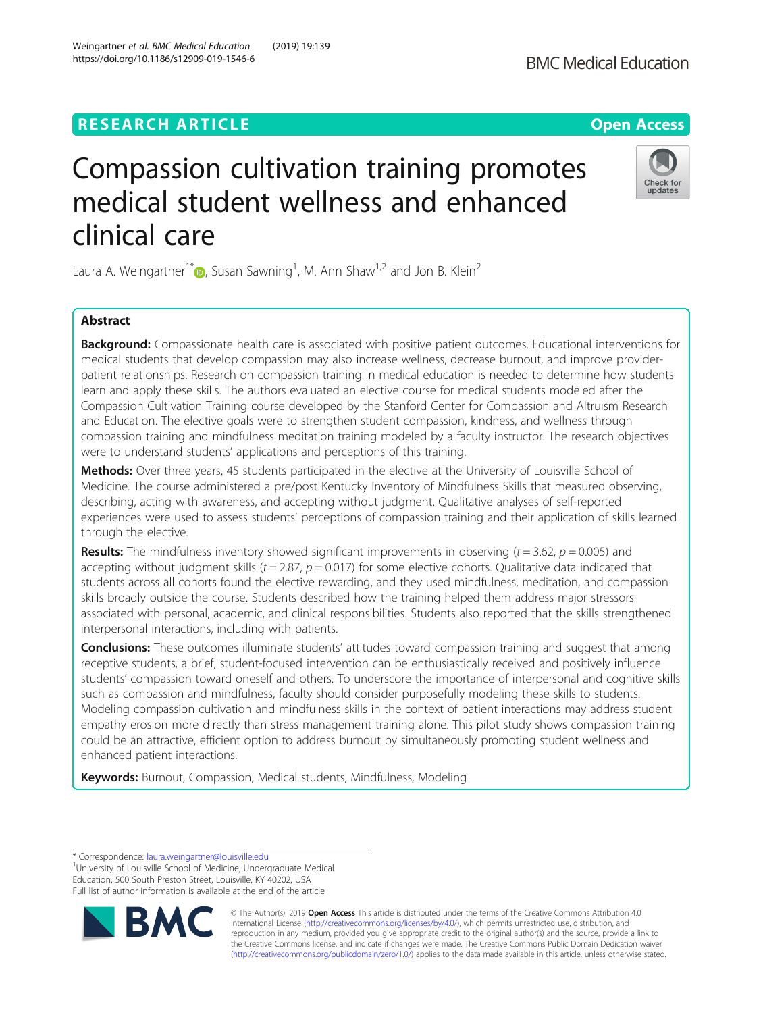## **RESEARCH ARTICLE Example 2018 12:30 THE Open Access**

https://doi.org/10.1186/s12909-019-1546-6

Weingartner et al. BMC Medical Education (2019) 19:139

# Compassion cultivation training promotes medical student wellness and enhanced clinical care

Laura A. Weingartner<sup>1[\\*](http://orcid.org/0000-0003-0820-3980)</sup> $\textsf{D}$ , Susan Sawning<sup>1</sup>, M. Ann Shaw<sup>1,2</sup> and Jon B. Klein<sup>2</sup>

## Abstract

Background: Compassionate health care is associated with positive patient outcomes. Educational interventions for medical students that develop compassion may also increase wellness, decrease burnout, and improve providerpatient relationships. Research on compassion training in medical education is needed to determine how students learn and apply these skills. The authors evaluated an elective course for medical students modeled after the Compassion Cultivation Training course developed by the Stanford Center for Compassion and Altruism Research and Education. The elective goals were to strengthen student compassion, kindness, and wellness through compassion training and mindfulness meditation training modeled by a faculty instructor. The research objectives were to understand students' applications and perceptions of this training.

Methods: Over three years, 45 students participated in the elective at the University of Louisville School of Medicine. The course administered a pre/post Kentucky Inventory of Mindfulness Skills that measured observing, describing, acting with awareness, and accepting without judgment. Qualitative analyses of self-reported experiences were used to assess students' perceptions of compassion training and their application of skills learned through the elective.

**Results:** The mindfulness inventory showed significant improvements in observing  $(t = 3.62, p = 0.005)$  and accepting without judgment skills ( $t = 2.87$ ,  $p = 0.017$ ) for some elective cohorts. Qualitative data indicated that students across all cohorts found the elective rewarding, and they used mindfulness, meditation, and compassion skills broadly outside the course. Students described how the training helped them address major stressors associated with personal, academic, and clinical responsibilities. Students also reported that the skills strengthened interpersonal interactions, including with patients.

**Conclusions:** These outcomes illuminate students' attitudes toward compassion training and suggest that among receptive students, a brief, student-focused intervention can be enthusiastically received and positively influence students' compassion toward oneself and others. To underscore the importance of interpersonal and cognitive skills such as compassion and mindfulness, faculty should consider purposefully modeling these skills to students. Modeling compassion cultivation and mindfulness skills in the context of patient interactions may address student empathy erosion more directly than stress management training alone. This pilot study shows compassion training could be an attractive, efficient option to address burnout by simultaneously promoting student wellness and enhanced patient interactions.

**Keywords:** Burnout, Compassion, Medical students, Mindfulness, Modeling

\* Correspondence: [laura.weingartner@louisville.edu](mailto:laura.weingartner@louisville.edu) <sup>1</sup>

<sup>1</sup>University of Louisville School of Medicine, Undergraduate Medical Education, 500 South Preston Street, Louisville, KY 40202, USA Full list of author information is available at the end of the article







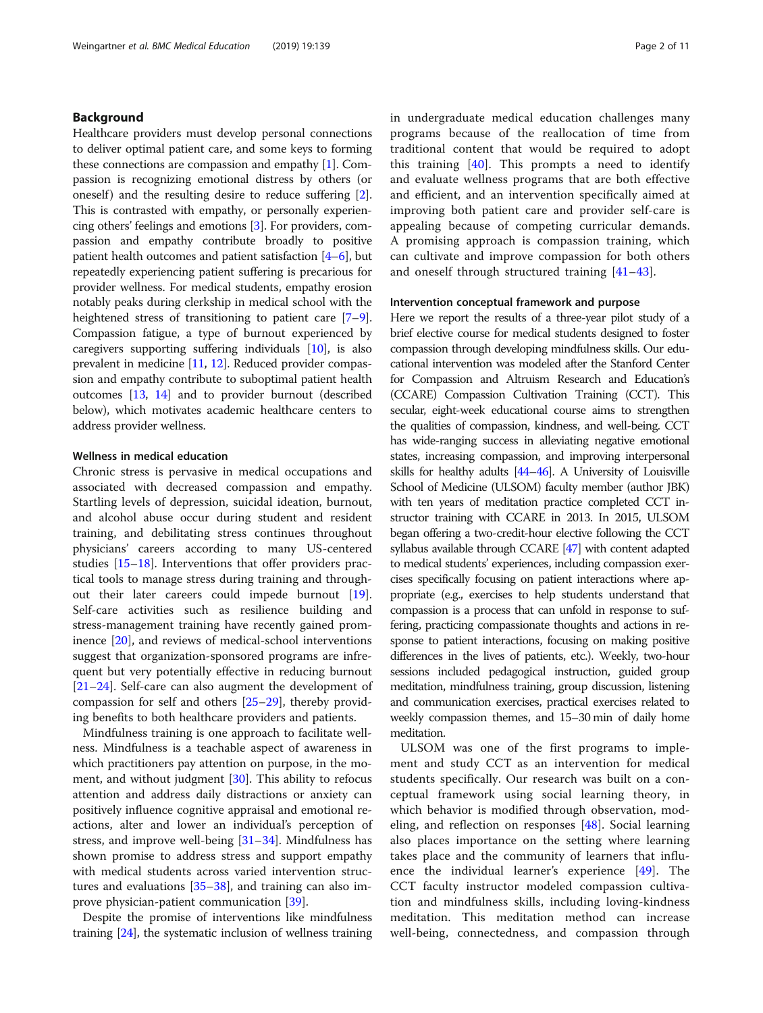## Background

Healthcare providers must develop personal connections to deliver optimal patient care, and some keys to forming these connections are compassion and empathy [\[1](#page-8-0)]. Compassion is recognizing emotional distress by others (or oneself) and the resulting desire to reduce suffering  $[2]$  $[2]$  $[2]$ . This is contrasted with empathy, or personally experiencing others' feelings and emotions [\[3](#page-9-0)]. For providers, compassion and empathy contribute broadly to positive patient health outcomes and patient satisfaction [[4](#page-9-0)–[6](#page-9-0)], but repeatedly experiencing patient suffering is precarious for provider wellness. For medical students, empathy erosion notably peaks during clerkship in medical school with the heightened stress of transitioning to patient care [[7](#page-9-0)–[9](#page-9-0)]. Compassion fatigue, a type of burnout experienced by caregivers supporting suffering individuals [[10\]](#page-9-0), is also prevalent in medicine [[11,](#page-9-0) [12](#page-9-0)]. Reduced provider compassion and empathy contribute to suboptimal patient health outcomes [[13](#page-9-0), [14\]](#page-9-0) and to provider burnout (described below), which motivates academic healthcare centers to address provider wellness.

## Wellness in medical education

Chronic stress is pervasive in medical occupations and associated with decreased compassion and empathy. Startling levels of depression, suicidal ideation, burnout, and alcohol abuse occur during student and resident training, and debilitating stress continues throughout physicians' careers according to many US-centered studies [[15](#page-9-0)–[18](#page-9-0)]. Interventions that offer providers practical tools to manage stress during training and throughout their later careers could impede burnout [\[19](#page-9-0)]. Self-care activities such as resilience building and stress-management training have recently gained prominence [[20\]](#page-9-0), and reviews of medical-school interventions suggest that organization-sponsored programs are infrequent but very potentially effective in reducing burnout [[21](#page-9-0)–[24](#page-9-0)]. Self-care can also augment the development of compassion for self and others [[25](#page-9-0)–[29\]](#page-9-0), thereby providing benefits to both healthcare providers and patients.

Mindfulness training is one approach to facilitate wellness. Mindfulness is a teachable aspect of awareness in which practitioners pay attention on purpose, in the mo-ment, and without judgment [[30\]](#page-9-0). This ability to refocus attention and address daily distractions or anxiety can positively influence cognitive appraisal and emotional reactions, alter and lower an individual's perception of stress, and improve well-being [[31](#page-9-0)–[34\]](#page-9-0). Mindfulness has shown promise to address stress and support empathy with medical students across varied intervention structures and evaluations [\[35](#page-9-0)–[38\]](#page-9-0), and training can also improve physician-patient communication [[39\]](#page-9-0).

Despite the promise of interventions like mindfulness training [\[24\]](#page-9-0), the systematic inclusion of wellness training in undergraduate medical education challenges many programs because of the reallocation of time from traditional content that would be required to adopt this training  $[40]$  $[40]$ . This prompts a need to identify and evaluate wellness programs that are both effective and efficient, and an intervention specifically aimed at improving both patient care and provider self-care is appealing because of competing curricular demands. A promising approach is compassion training, which can cultivate and improve compassion for both others and oneself through structured training [[41](#page-9-0)–[43\]](#page-9-0).

#### Intervention conceptual framework and purpose

Here we report the results of a three-year pilot study of a brief elective course for medical students designed to foster compassion through developing mindfulness skills. Our educational intervention was modeled after the Stanford Center for Compassion and Altruism Research and Education's (CCARE) Compassion Cultivation Training (CCT). This secular, eight-week educational course aims to strengthen the qualities of compassion, kindness, and well-being. CCT has wide-ranging success in alleviating negative emotional states, increasing compassion, and improving interpersonal skills for healthy adults [\[44](#page-9-0)–[46](#page-9-0)]. A University of Louisville School of Medicine (ULSOM) faculty member (author JBK) with ten years of meditation practice completed CCT instructor training with CCARE in 2013. In 2015, ULSOM began offering a two-credit-hour elective following the CCT syllabus available through CCARE [\[47](#page-9-0)] with content adapted to medical students' experiences, including compassion exercises specifically focusing on patient interactions where appropriate (e.g., exercises to help students understand that compassion is a process that can unfold in response to suffering, practicing compassionate thoughts and actions in response to patient interactions, focusing on making positive differences in the lives of patients, etc.). Weekly, two-hour sessions included pedagogical instruction, guided group meditation, mindfulness training, group discussion, listening and communication exercises, practical exercises related to weekly compassion themes, and 15–30 min of daily home meditation.

ULSOM was one of the first programs to implement and study CCT as an intervention for medical students specifically. Our research was built on a conceptual framework using social learning theory, in which behavior is modified through observation, modeling, and reflection on responses [[48\]](#page-9-0). Social learning also places importance on the setting where learning takes place and the community of learners that influence the individual learner's experience [[49](#page-9-0)]. The CCT faculty instructor modeled compassion cultivation and mindfulness skills, including loving-kindness meditation. This meditation method can increase well-being, connectedness, and compassion through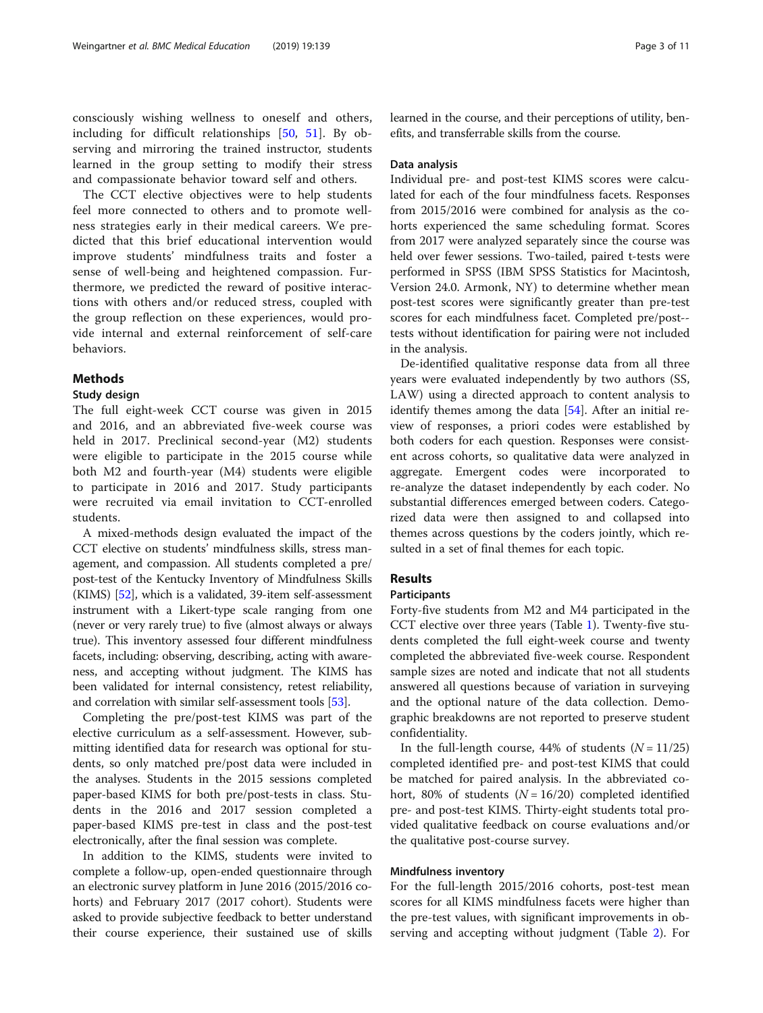consciously wishing wellness to oneself and others, including for difficult relationships [\[50](#page-9-0), [51\]](#page-9-0). By observing and mirroring the trained instructor, students learned in the group setting to modify their stress and compassionate behavior toward self and others.

The CCT elective objectives were to help students feel more connected to others and to promote wellness strategies early in their medical careers. We predicted that this brief educational intervention would improve students' mindfulness traits and foster a sense of well-being and heightened compassion. Furthermore, we predicted the reward of positive interactions with others and/or reduced stress, coupled with the group reflection on these experiences, would provide internal and external reinforcement of self-care behaviors.

## **Methods**

#### Study design

The full eight-week CCT course was given in 2015 and 2016, and an abbreviated five-week course was held in 2017. Preclinical second-year (M2) students were eligible to participate in the 2015 course while both M2 and fourth-year (M4) students were eligible to participate in 2016 and 2017. Study participants were recruited via email invitation to CCT-enrolled students.

A mixed-methods design evaluated the impact of the CCT elective on students' mindfulness skills, stress management, and compassion. All students completed a pre/ post-test of the Kentucky Inventory of Mindfulness Skills (KIMS) [[52](#page-10-0)], which is a validated, 39-item self-assessment instrument with a Likert-type scale ranging from one (never or very rarely true) to five (almost always or always true). This inventory assessed four different mindfulness facets, including: observing, describing, acting with awareness, and accepting without judgment. The KIMS has been validated for internal consistency, retest reliability, and correlation with similar self-assessment tools [[53](#page-10-0)].

Completing the pre/post-test KIMS was part of the elective curriculum as a self-assessment. However, submitting identified data for research was optional for students, so only matched pre/post data were included in the analyses. Students in the 2015 sessions completed paper-based KIMS for both pre/post-tests in class. Students in the 2016 and 2017 session completed a paper-based KIMS pre-test in class and the post-test electronically, after the final session was complete.

In addition to the KIMS, students were invited to complete a follow-up, open-ended questionnaire through an electronic survey platform in June 2016 (2015/2016 cohorts) and February 2017 (2017 cohort). Students were asked to provide subjective feedback to better understand their course experience, their sustained use of skills learned in the course, and their perceptions of utility, benefits, and transferrable skills from the course.

#### Data analysis

Individual pre- and post-test KIMS scores were calculated for each of the four mindfulness facets. Responses from 2015/2016 were combined for analysis as the cohorts experienced the same scheduling format. Scores from 2017 were analyzed separately since the course was held over fewer sessions. Two-tailed, paired t-tests were performed in SPSS (IBM SPSS Statistics for Macintosh, Version 24.0. Armonk, NY) to determine whether mean post-test scores were significantly greater than pre-test scores for each mindfulness facet. Completed pre/post- tests without identification for pairing were not included in the analysis.

De-identified qualitative response data from all three years were evaluated independently by two authors (SS, LAW) using a directed approach to content analysis to identify themes among the data [\[54](#page-10-0)]. After an initial review of responses, a priori codes were established by both coders for each question. Responses were consistent across cohorts, so qualitative data were analyzed in aggregate. Emergent codes were incorporated to re-analyze the dataset independently by each coder. No substantial differences emerged between coders. Categorized data were then assigned to and collapsed into themes across questions by the coders jointly, which resulted in a set of final themes for each topic.

## Results

## Participants

Forty-five students from M2 and M4 participated in the CCT elective over three years (Table [1\)](#page-3-0). Twenty-five students completed the full eight-week course and twenty completed the abbreviated five-week course. Respondent sample sizes are noted and indicate that not all students answered all questions because of variation in surveying and the optional nature of the data collection. Demographic breakdowns are not reported to preserve student confidentiality.

In the full-length course, 44% of students  $(N = 11/25)$ completed identified pre- and post-test KIMS that could be matched for paired analysis. In the abbreviated cohort, 80% of students ( $N = 16/20$ ) completed identified pre- and post-test KIMS. Thirty-eight students total provided qualitative feedback on course evaluations and/or the qualitative post-course survey.

#### Mindfulness inventory

For the full-length 2015/2016 cohorts, post-test mean scores for all KIMS mindfulness facets were higher than the pre-test values, with significant improvements in observing and accepting without judgment (Table [2\)](#page-3-0). For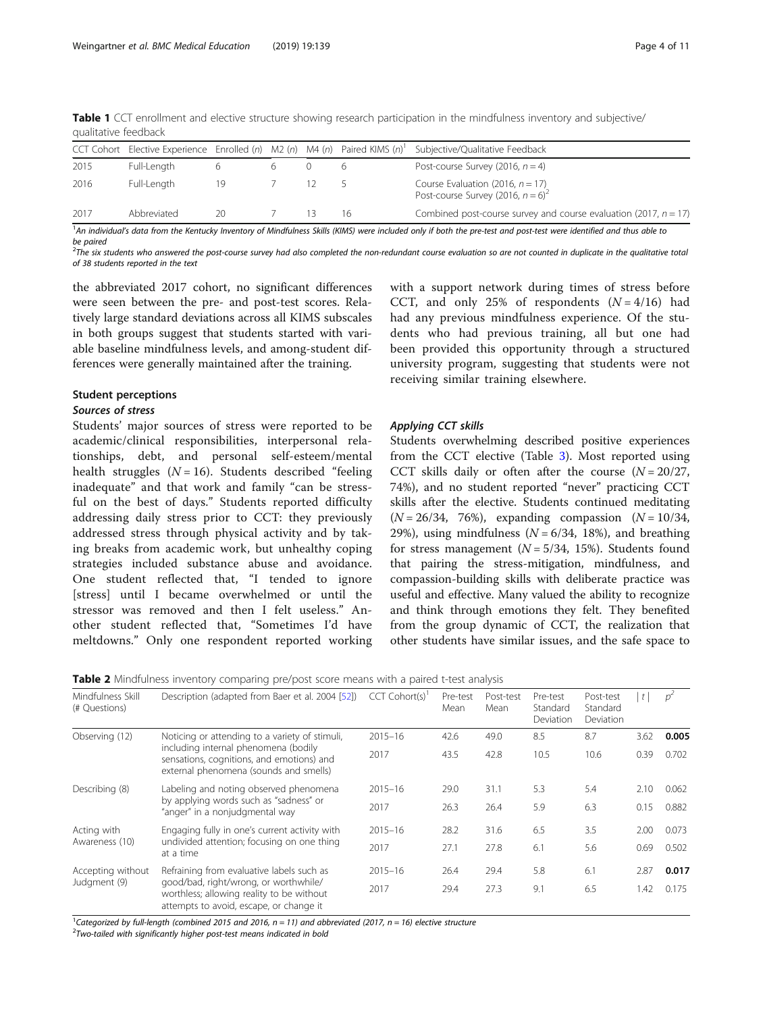| GUUILLUIVE ILLUNULIV |                                                                            |    |  |  |    |                                                                                         |  |
|----------------------|----------------------------------------------------------------------------|----|--|--|----|-----------------------------------------------------------------------------------------|--|
|                      | CCT Cohort Elective Experience Enrolled (n) M2 (n) M4 (n) Paired KIMS (n)' |    |  |  |    | Subjective/Qualitative Feedback                                                         |  |
| 2015                 | Full-Length                                                                |    |  |  |    | Post-course Survey (2016, $n = 4$ )                                                     |  |
| 2016                 | Full-Length                                                                | 19 |  |  |    | Course Evaluation (2016, $n = 17$ )<br>Post-course Survey (2016, $n = 6$ ) <sup>2</sup> |  |
| 2017                 | Abbreviated                                                                | 20 |  |  | 16 | Combined post-course survey and course evaluation (2017, $n = 17$ )                     |  |

<span id="page-3-0"></span>Table 1 CCT enrollment and elective structure showing research participation in the mindfulness inventory and subjective/ qualitative feedback

<sup>1</sup>An individual's data from the Kentucky Inventory of Mindfulness Skills (KIMS) were included only if both the pre-test and post-test were identified and thus able to be paired

 $^2$ The six students who answered the post-course survey had also completed the non-redundant course evaluation so are not counted in duplicate in the qualitative total of 38 students reported in the text

the abbreviated 2017 cohort, no significant differences were seen between the pre- and post-test scores. Relatively large standard deviations across all KIMS subscales in both groups suggest that students started with variable baseline mindfulness levels, and among-student differences were generally maintained after the training.

## Student perceptions

## Sources of stress

Students' major sources of stress were reported to be academic/clinical responsibilities, interpersonal relationships, debt, and personal self-esteem/mental health struggles  $(N = 16)$ . Students described "feeling" inadequate" and that work and family "can be stressful on the best of days." Students reported difficulty addressing daily stress prior to CCT: they previously addressed stress through physical activity and by taking breaks from academic work, but unhealthy coping strategies included substance abuse and avoidance. One student reflected that, "I tended to ignore [stress] until I became overwhelmed or until the stressor was removed and then I felt useless." Another student reflected that, "Sometimes I'd have meltdowns." Only one respondent reported working

with a support network during times of stress before CCT, and only 25% of respondents  $(N = 4/16)$  had had any previous mindfulness experience. Of the students who had previous training, all but one had been provided this opportunity through a structured university program, suggesting that students were not receiving similar training elsewhere.

## Applying CCT skills

Students overwhelming described positive experiences from the CCT elective (Table [3](#page-4-0)). Most reported using CCT skills daily or often after the course  $(N = 20/27,$ 74%), and no student reported "never" practicing CCT skills after the elective. Students continued meditating  $(N = 26/34, 76%)$ , expanding compassion  $(N = 10/34, 10/34)$ 29%), using mindfulness  $(N = 6/34, 18%)$ , and breathing for stress management ( $N = 5/34$ , 15%). Students found that pairing the stress-mitigation, mindfulness, and compassion-building skills with deliberate practice was useful and effective. Many valued the ability to recognize and think through emotions they felt. They benefited from the group dynamic of CCT, the realization that other students have similar issues, and the safe space to

|  | <b>Table 2</b> Mindfulness inventory comparing pre/post score means with a paired t-test analysis |  |
|--|---------------------------------------------------------------------------------------------------|--|
|--|---------------------------------------------------------------------------------------------------|--|

| Mindfulness Skill<br>(# Questions) | Description (adapted from Baer et al. 2004 [52])                                                                                                                              | CCT Cohort(s) <sup>1</sup> | Pre-test<br>Mean | Post-test<br>Mean | Pre-test<br>Standard<br>Deviation | Post-test<br>Standard<br>Deviation | $\lfloor t \rfloor$ | $p^2$ |
|------------------------------------|-------------------------------------------------------------------------------------------------------------------------------------------------------------------------------|----------------------------|------------------|-------------------|-----------------------------------|------------------------------------|---------------------|-------|
| Observing (12)                     | Noticing or attending to a variety of stimuli,<br>including internal phenomena (bodily<br>sensations, cognitions, and emotions) and<br>external phenomena (sounds and smells) | $2015 - 16$                | 42.6             | 49.0              | 8.5                               | 8.7                                | 3.62                | 0.005 |
|                                    |                                                                                                                                                                               | 2017                       | 43.5             | 42.8              | 10.5                              | 10.6                               | 0.39                | 0.702 |
| Describing (8)                     | Labeling and noting observed phenomena                                                                                                                                        | $2015 - 16$                | 29.0             | 31.1              | 5.3                               | 5.4                                | 2.10                | 0.062 |
|                                    | by applying words such as "sadness" or<br>"anger" in a nonjudgmental way                                                                                                      | 2017                       | 26.3             | 26.4              | 5.9                               | 6.3                                | 0.15                | 0.882 |
| Acting with<br>Awareness (10)      | Engaging fully in one's current activity with<br>undivided attention; focusing on one thing<br>at a time                                                                      | $2015 - 16$                | 28.2             | 31.6              | 6.5                               | 3.5                                | 2.00                | 0.073 |
|                                    |                                                                                                                                                                               | 2017                       | 27.1             | 27.8              | 6.1                               | 5.6                                | 0.69                | 0.502 |
| Accepting without<br>Judgment (9)  | Refraining from evaluative labels such as<br>good/bad, right/wrong, or worthwhile/<br>worthless; allowing reality to be without<br>attempts to avoid, escape, or change it    | $2015 - 16$                | 26.4             | 29.4              | 5.8                               | 6.1                                | 2.87                | 0.017 |
|                                    |                                                                                                                                                                               | 2017                       | 29.4             | 27.3              | 9.1                               | 6.5                                | 1.42                | 0.175 |

<sup>1</sup>Categorized by full-length (combined 2015 and 2016,  $n = 11$ ) and abbreviated (2017,  $n = 16$ ) elective structure

 $2$ Two-tailed with significantly higher post-test means indicated in bold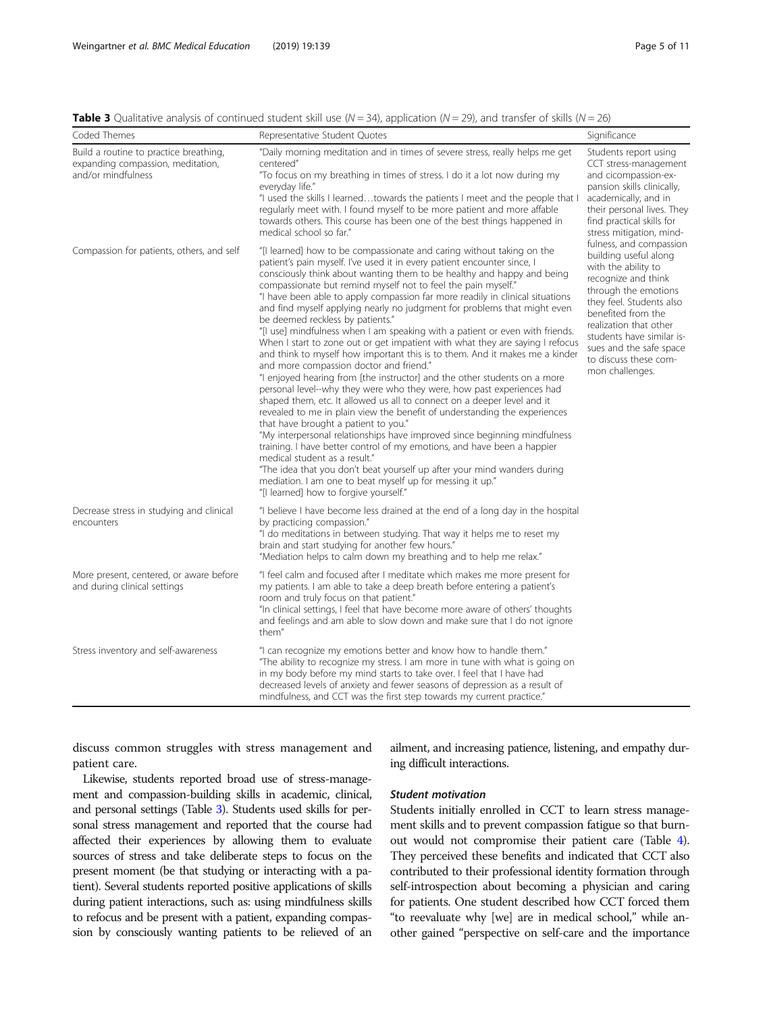<span id="page-4-0"></span>**Table 3** Qualitative analysis of continued student skill use  $(N = 34)$ , application  $(N = 29)$ , and transfer of skills  $(N = 26)$ 

| Coded Themes                                                                                      | Representative Student Quotes                                                                                                                                                                                                                                                                                                                                                                                                                                                                                                                                                                                                                                                                                                                                                                                                                                                                                                                                                                                                                                                                                                                                                                                                                                                                                                                                                                                                                                                                                             | Significance                                                                                                                                                                                                                                                                                           |  |
|---------------------------------------------------------------------------------------------------|---------------------------------------------------------------------------------------------------------------------------------------------------------------------------------------------------------------------------------------------------------------------------------------------------------------------------------------------------------------------------------------------------------------------------------------------------------------------------------------------------------------------------------------------------------------------------------------------------------------------------------------------------------------------------------------------------------------------------------------------------------------------------------------------------------------------------------------------------------------------------------------------------------------------------------------------------------------------------------------------------------------------------------------------------------------------------------------------------------------------------------------------------------------------------------------------------------------------------------------------------------------------------------------------------------------------------------------------------------------------------------------------------------------------------------------------------------------------------------------------------------------------------|--------------------------------------------------------------------------------------------------------------------------------------------------------------------------------------------------------------------------------------------------------------------------------------------------------|--|
| Build a routine to practice breathing,<br>expanding compassion, meditation,<br>and/or mindfulness | "Daily morning meditation and in times of severe stress, really helps me get<br>centered"<br>"To focus on my breathing in times of stress. I do it a lot now during my<br>everyday life."<br>"I used the skills I learnedtowards the patients I meet and the people that I<br>regularly meet with. I found myself to be more patient and more affable<br>towards others. This course has been one of the best things happened in<br>medical school so far."                                                                                                                                                                                                                                                                                                                                                                                                                                                                                                                                                                                                                                                                                                                                                                                                                                                                                                                                                                                                                                                               | Students report using<br>CCT stress-management<br>and cicompassion-ex-<br>pansion skills clinically,<br>academically, and in<br>their personal lives. They<br>find practical skills for<br>stress mitigation, mind-                                                                                    |  |
| Compassion for patients, others, and self                                                         | "[I learned] how to be compassionate and caring without taking on the<br>patient's pain myself. I've used it in every patient encounter since, I<br>consciously think about wanting them to be healthy and happy and being<br>compassionate but remind myself not to feel the pain myself."<br>"I have been able to apply compassion far more readily in clinical situations<br>and find myself applying nearly no judgment for problems that might even<br>be deemed reckless by patients."<br>"[I use] mindfulness when I am speaking with a patient or even with friends.<br>When I start to zone out or get impatient with what they are saying I refocus<br>and think to myself how important this is to them. And it makes me a kinder<br>and more compassion doctor and friend."<br>"I enjoyed hearing from [the instructor] and the other students on a more<br>personal level--why they were who they were, how past experiences had<br>shaped them, etc. It allowed us all to connect on a deeper level and it<br>revealed to me in plain view the benefit of understanding the experiences<br>that have brought a patient to you."<br>"My interpersonal relationships have improved since beginning mindfulness<br>training. I have better control of my emotions, and have been a happier<br>medical student as a result."<br>"The idea that you don't beat yourself up after your mind wanders during<br>mediation. I am one to beat myself up for messing it up."<br>"[I learned] how to forgive yourself." | fulness, and compassion<br>building useful along<br>with the ability to<br>recognize and think<br>through the emotions<br>they feel. Students also<br>benefited from the<br>realization that other<br>students have similar is-<br>sues and the safe space<br>to discuss these com-<br>mon challenges. |  |
| Decrease stress in studying and clinical<br>encounters                                            | "I believe I have become less drained at the end of a long day in the hospital<br>by practicing compassion."<br>"I do meditations in between studying. That way it helps me to reset my<br>brain and start studying for another few hours."<br>"Mediation helps to calm down my breathing and to help me relax."                                                                                                                                                                                                                                                                                                                                                                                                                                                                                                                                                                                                                                                                                                                                                                                                                                                                                                                                                                                                                                                                                                                                                                                                          |                                                                                                                                                                                                                                                                                                        |  |
| More present, centered, or aware before<br>and during clinical settings                           | "I feel calm and focused after I meditate which makes me more present for<br>my patients. I am able to take a deep breath before entering a patient's<br>room and truly focus on that patient."<br>"In clinical settings, I feel that have become more aware of others' thoughts<br>and feelings and am able to slow down and make sure that I do not ignore<br>them"                                                                                                                                                                                                                                                                                                                                                                                                                                                                                                                                                                                                                                                                                                                                                                                                                                                                                                                                                                                                                                                                                                                                                     |                                                                                                                                                                                                                                                                                                        |  |
| Stress inventory and self-awareness                                                               | "I can recognize my emotions better and know how to handle them."<br>"The ability to recognize my stress. I am more in tune with what is going on<br>in my body before my mind starts to take over. I feel that I have had<br>decreased levels of anxiety and fewer seasons of depression as a result of<br>mindfulness, and CCT was the first step towards my current practice."                                                                                                                                                                                                                                                                                                                                                                                                                                                                                                                                                                                                                                                                                                                                                                                                                                                                                                                                                                                                                                                                                                                                         |                                                                                                                                                                                                                                                                                                        |  |

discuss common struggles with stress management and patient care.

Likewise, students reported broad use of stress-management and compassion-building skills in academic, clinical, and personal settings (Table 3). Students used skills for personal stress management and reported that the course had affected their experiences by allowing them to evaluate sources of stress and take deliberate steps to focus on the present moment (be that studying or interacting with a patient). Several students reported positive applications of skills during patient interactions, such as: using mindfulness skills to refocus and be present with a patient, expanding compassion by consciously wanting patients to be relieved of an ailment, and increasing patience, listening, and empathy during difficult interactions.

## Student motivation

Students initially enrolled in CCT to learn stress management skills and to prevent compassion fatigue so that burnout would not compromise their patient care (Table [4](#page-6-0)). They perceived these benefits and indicated that CCT also contributed to their professional identity formation through self-introspection about becoming a physician and caring for patients. One student described how CCT forced them "to reevaluate why [we] are in medical school," while another gained "perspective on self-care and the importance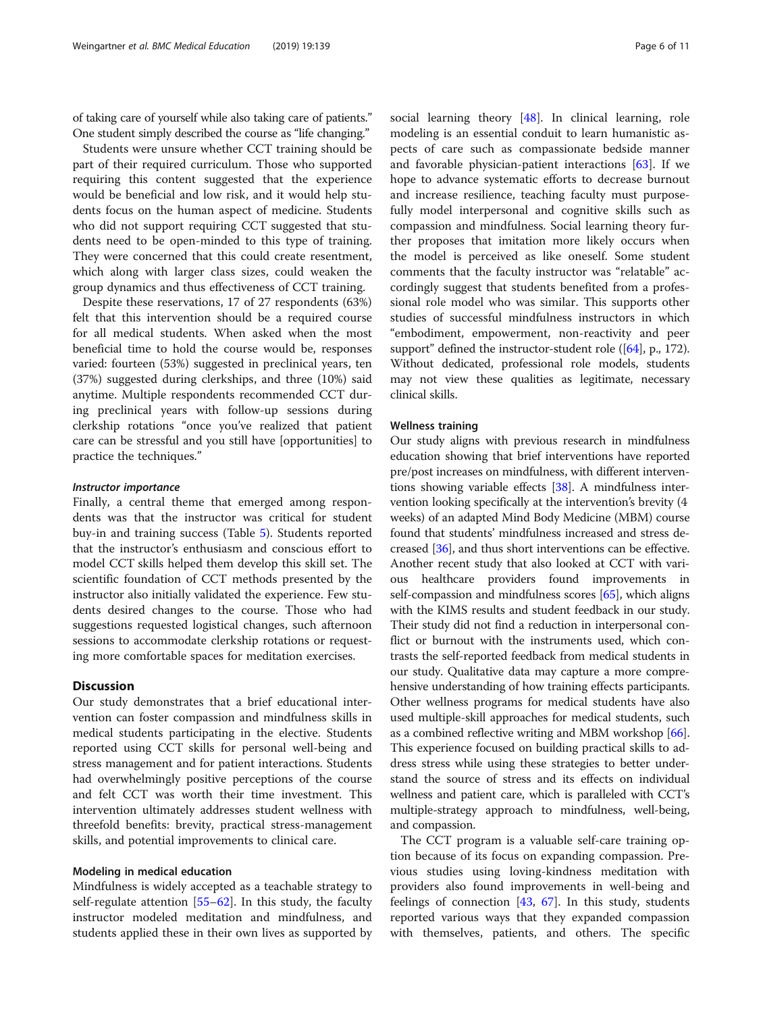of taking care of yourself while also taking care of patients." One student simply described the course as "life changing."

Students were unsure whether CCT training should be part of their required curriculum. Those who supported requiring this content suggested that the experience would be beneficial and low risk, and it would help students focus on the human aspect of medicine. Students who did not support requiring CCT suggested that students need to be open-minded to this type of training. They were concerned that this could create resentment, which along with larger class sizes, could weaken the group dynamics and thus effectiveness of CCT training.

Despite these reservations, 17 of 27 respondents (63%) felt that this intervention should be a required course for all medical students. When asked when the most beneficial time to hold the course would be, responses varied: fourteen (53%) suggested in preclinical years, ten (37%) suggested during clerkships, and three (10%) said anytime. Multiple respondents recommended CCT during preclinical years with follow-up sessions during clerkship rotations "once you've realized that patient care can be stressful and you still have [opportunities] to practice the techniques."

## Instructor importance

Finally, a central theme that emerged among respondents was that the instructor was critical for student buy-in and training success (Table [5\)](#page-7-0). Students reported that the instructor's enthusiasm and conscious effort to model CCT skills helped them develop this skill set. The scientific foundation of CCT methods presented by the instructor also initially validated the experience. Few students desired changes to the course. Those who had suggestions requested logistical changes, such afternoon sessions to accommodate clerkship rotations or requesting more comfortable spaces for meditation exercises.

## **Discussion**

Our study demonstrates that a brief educational intervention can foster compassion and mindfulness skills in medical students participating in the elective. Students reported using CCT skills for personal well-being and stress management and for patient interactions. Students had overwhelmingly positive perceptions of the course and felt CCT was worth their time investment. This intervention ultimately addresses student wellness with threefold benefits: brevity, practical stress-management skills, and potential improvements to clinical care.

## Modeling in medical education

Mindfulness is widely accepted as a teachable strategy to self-regulate attention [[55](#page-10-0)–[62](#page-10-0)]. In this study, the faculty instructor modeled meditation and mindfulness, and students applied these in their own lives as supported by social learning theory [\[48\]](#page-9-0). In clinical learning, role modeling is an essential conduit to learn humanistic aspects of care such as compassionate bedside manner and favorable physician-patient interactions  $[63]$  $[63]$  $[63]$ . If we hope to advance systematic efforts to decrease burnout and increase resilience, teaching faculty must purposefully model interpersonal and cognitive skills such as compassion and mindfulness. Social learning theory further proposes that imitation more likely occurs when the model is perceived as like oneself. Some student comments that the faculty instructor was "relatable" accordingly suggest that students benefited from a professional role model who was similar. This supports other studies of successful mindfulness instructors in which "embodiment, empowerment, non-reactivity and peer support" defined the instructor-student role ([\[64\]](#page-10-0), p., 172). Without dedicated, professional role models, students may not view these qualities as legitimate, necessary clinical skills.

## Wellness training

Our study aligns with previous research in mindfulness education showing that brief interventions have reported pre/post increases on mindfulness, with different interventions showing variable effects [[38](#page-9-0)]. A mindfulness intervention looking specifically at the intervention's brevity (4 weeks) of an adapted Mind Body Medicine (MBM) course found that students' mindfulness increased and stress decreased [\[36](#page-9-0)], and thus short interventions can be effective. Another recent study that also looked at CCT with various healthcare providers found improvements in self-compassion and mindfulness scores [\[65\]](#page-10-0), which aligns with the KIMS results and student feedback in our study. Their study did not find a reduction in interpersonal conflict or burnout with the instruments used, which contrasts the self-reported feedback from medical students in our study. Qualitative data may capture a more comprehensive understanding of how training effects participants. Other wellness programs for medical students have also used multiple-skill approaches for medical students, such as a combined reflective writing and MBM workshop [[66](#page-10-0)]. This experience focused on building practical skills to address stress while using these strategies to better understand the source of stress and its effects on individual wellness and patient care, which is paralleled with CCT's multiple-strategy approach to mindfulness, well-being, and compassion.

The CCT program is a valuable self-care training option because of its focus on expanding compassion. Previous studies using loving-kindness meditation with providers also found improvements in well-being and feelings of connection [\[43,](#page-9-0) [67\]](#page-10-0). In this study, students reported various ways that they expanded compassion with themselves, patients, and others. The specific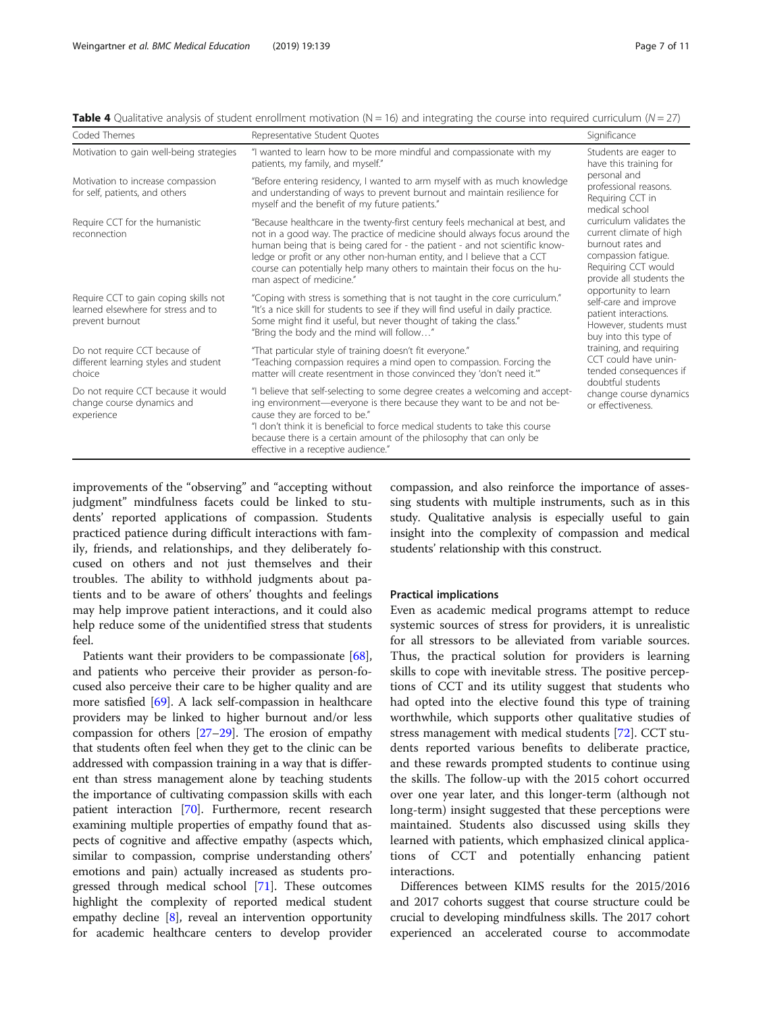| Coded Themes                                                                                    | Representative Student Quotes                                                                                                                                                                                                                                                                                                                                                                                                    | Significance                                                                                                                                       |  |
|-------------------------------------------------------------------------------------------------|----------------------------------------------------------------------------------------------------------------------------------------------------------------------------------------------------------------------------------------------------------------------------------------------------------------------------------------------------------------------------------------------------------------------------------|----------------------------------------------------------------------------------------------------------------------------------------------------|--|
| Motivation to gain well-being strategies                                                        | "I wanted to learn how to be more mindful and compassionate with my<br>patients, my family, and myself."                                                                                                                                                                                                                                                                                                                         | Students are eager to<br>have this training for<br>personal and<br>professional reasons.<br>Requiring CCT in<br>medical school                     |  |
| Motivation to increase compassion<br>for self, patients, and others                             | "Before entering residency, I wanted to arm myself with as much knowledge<br>and understanding of ways to prevent burnout and maintain resilience for<br>myself and the benefit of my future patients."                                                                                                                                                                                                                          |                                                                                                                                                    |  |
| Require CCT for the humanistic<br>reconnection                                                  | "Because healthcare in the twenty-first century feels mechanical at best, and<br>not in a good way. The practice of medicine should always focus around the<br>human being that is being cared for - the patient - and not scientific know-<br>ledge or profit or any other non-human entity, and I believe that a CCT<br>course can potentially help many others to maintain their focus on the hu-<br>man aspect of medicine." | curriculum validates the<br>current climate of high<br>burnout rates and<br>compassion fatique.<br>Requiring CCT would<br>provide all students the |  |
| Require CCT to gain coping skills not<br>learned elsewhere for stress and to<br>prevent burnout | "Coping with stress is something that is not taught in the core curriculum."<br>"It's a nice skill for students to see if they will find useful in daily practice.<br>Some might find it useful, but never thought of taking the class."<br>"Bring the body and the mind will follow"                                                                                                                                            | opportunity to learn<br>self-care and improve<br>patient interactions.<br>However, students must<br>buy into this type of                          |  |
| Do not require CCT because of<br>different learning styles and student<br>choice                | "That particular style of training doesn't fit everyone."<br>"Teaching compassion requires a mind open to compassion. Forcing the<br>matter will create resentment in those convinced they 'don't need it."                                                                                                                                                                                                                      | training, and requiring<br>CCT could have unin-<br>tended consequences if<br>doubtful students<br>change course dynamics<br>or effectiveness.      |  |
| Do not require CCT because it would<br>change course dynamics and<br>experience                 | "I believe that self-selecting to some degree creates a welcoming and accept-<br>ing environment—everyone is there because they want to be and not be-<br>cause they are forced to be."<br>"I don't think it is beneficial to force medical students to take this course<br>because there is a certain amount of the philosophy that can only be<br>effective in a receptive audience."                                          |                                                                                                                                                    |  |

<span id="page-6-0"></span>Table 4 Qualitative analysis of student enrollment motivation (N = 16) and integrating the course into required curriculum (N = 27)

improvements of the "observing" and "accepting without judgment" mindfulness facets could be linked to students' reported applications of compassion. Students practiced patience during difficult interactions with family, friends, and relationships, and they deliberately focused on others and not just themselves and their troubles. The ability to withhold judgments about patients and to be aware of others' thoughts and feelings may help improve patient interactions, and it could also help reduce some of the unidentified stress that students feel.

Patients want their providers to be compassionate [[68](#page-10-0)], and patients who perceive their provider as person-focused also perceive their care to be higher quality and are more satisfied [\[69](#page-10-0)]. A lack self-compassion in healthcare providers may be linked to higher burnout and/or less compassion for others [[27](#page-9-0)–[29\]](#page-9-0). The erosion of empathy that students often feel when they get to the clinic can be addressed with compassion training in a way that is different than stress management alone by teaching students the importance of cultivating compassion skills with each patient interaction [\[70\]](#page-10-0). Furthermore, recent research examining multiple properties of empathy found that aspects of cognitive and affective empathy (aspects which, similar to compassion, comprise understanding others' emotions and pain) actually increased as students progressed through medical school [\[71\]](#page-10-0). These outcomes highlight the complexity of reported medical student empathy decline  $[8]$ , reveal an intervention opportunity for academic healthcare centers to develop provider compassion, and also reinforce the importance of assessing students with multiple instruments, such as in this study. Qualitative analysis is especially useful to gain insight into the complexity of compassion and medical students' relationship with this construct.

#### Practical implications

Even as academic medical programs attempt to reduce systemic sources of stress for providers, it is unrealistic for all stressors to be alleviated from variable sources. Thus, the practical solution for providers is learning skills to cope with inevitable stress. The positive perceptions of CCT and its utility suggest that students who had opted into the elective found this type of training worthwhile, which supports other qualitative studies of stress management with medical students [\[72](#page-10-0)]. CCT students reported various benefits to deliberate practice, and these rewards prompted students to continue using the skills. The follow-up with the 2015 cohort occurred over one year later, and this longer-term (although not long-term) insight suggested that these perceptions were maintained. Students also discussed using skills they learned with patients, which emphasized clinical applications of CCT and potentially enhancing patient interactions.

Differences between KIMS results for the 2015/2016 and 2017 cohorts suggest that course structure could be crucial to developing mindfulness skills. The 2017 cohort experienced an accelerated course to accommodate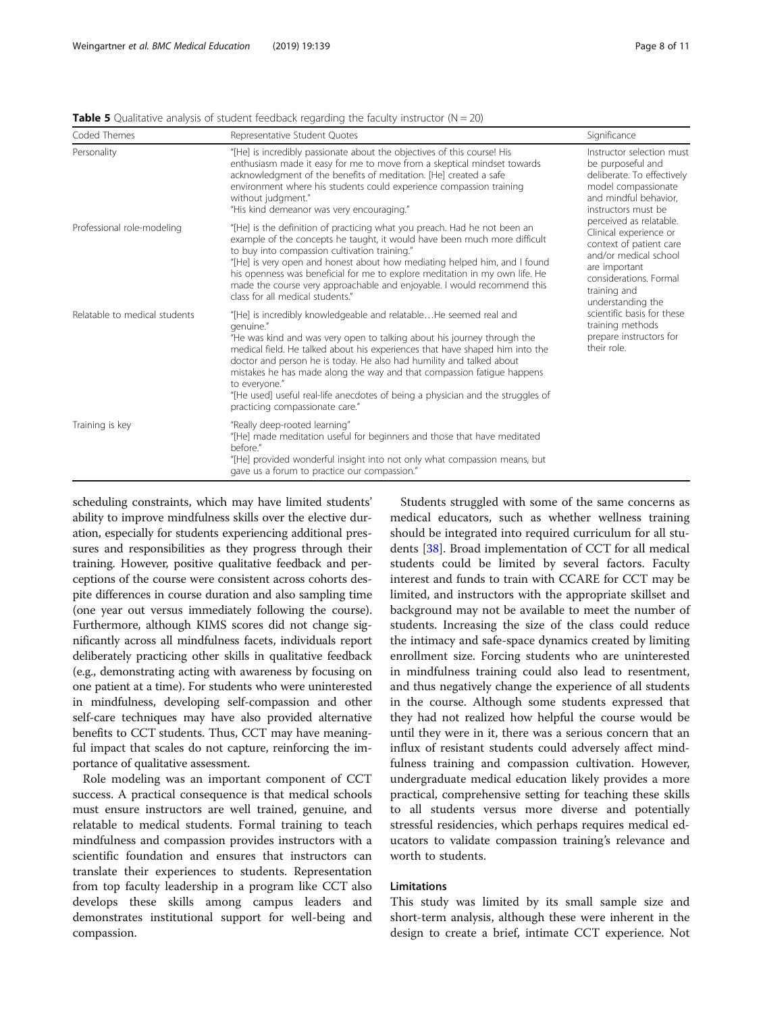| Coded Themes                  | Representative Student Quotes                                                                                                                                                                                                                                                                                                                                                                                                                                                                                                      | Significance                                                                                                                                                                                                                                                                      |  |
|-------------------------------|------------------------------------------------------------------------------------------------------------------------------------------------------------------------------------------------------------------------------------------------------------------------------------------------------------------------------------------------------------------------------------------------------------------------------------------------------------------------------------------------------------------------------------|-----------------------------------------------------------------------------------------------------------------------------------------------------------------------------------------------------------------------------------------------------------------------------------|--|
| Personality                   | "[He] is incredibly passionate about the objectives of this course! His<br>enthusiasm made it easy for me to move from a skeptical mindset towards<br>acknowledgment of the benefits of meditation. [He] created a safe<br>environment where his students could experience compassion training<br>without judgment."<br>"His kind demeanor was very encouraging."                                                                                                                                                                  | Instructor selection must<br>be purposeful and<br>deliberate. To effectively<br>model compassionate<br>and mindful behavior,<br>instructors must be                                                                                                                               |  |
| Professional role-modeling    | "[He] is the definition of practicing what you preach. Had he not been an<br>example of the concepts he taught, it would have been much more difficult<br>to buy into compassion cultivation training."<br>"[He] is very open and honest about how mediating helped him, and I found<br>his openness was beneficial for me to explore meditation in my own life. He<br>made the course very approachable and enjoyable. I would recommend this<br>class for all medical students."                                                 | perceived as relatable.<br>Clinical experience or<br>context of patient care<br>and/or medical school<br>are important<br>considerations. Formal<br>training and<br>understanding the<br>scientific basis for these<br>training methods<br>prepare instructors for<br>their role. |  |
| Relatable to medical students | "[He] is incredibly knowledgeable and relatableHe seemed real and<br>genuine."<br>"He was kind and was very open to talking about his journey through the<br>medical field. He talked about his experiences that have shaped him into the<br>doctor and person he is today. He also had humility and talked about<br>mistakes he has made along the way and that compassion fatique happens<br>to everyone."<br>"[He used] useful real-life anecdotes of being a physician and the struggles of<br>practicing compassionate care." |                                                                                                                                                                                                                                                                                   |  |
| Training is key               | "Really deep-rooted learning"<br>"[He] made meditation useful for beginners and those that have meditated<br>before."<br>"[He] provided wonderful insight into not only what compassion means, but<br>gave us a forum to practice our compassion."                                                                                                                                                                                                                                                                                 |                                                                                                                                                                                                                                                                                   |  |

<span id="page-7-0"></span>**Table 5** Qualitative analysis of student feedback regarding the faculty instructor ( $N = 20$ )

scheduling constraints, which may have limited students' ability to improve mindfulness skills over the elective duration, especially for students experiencing additional pressures and responsibilities as they progress through their training. However, positive qualitative feedback and perceptions of the course were consistent across cohorts despite differences in course duration and also sampling time (one year out versus immediately following the course). Furthermore, although KIMS scores did not change significantly across all mindfulness facets, individuals report deliberately practicing other skills in qualitative feedback (e.g., demonstrating acting with awareness by focusing on one patient at a time). For students who were uninterested in mindfulness, developing self-compassion and other self-care techniques may have also provided alternative benefits to CCT students. Thus, CCT may have meaningful impact that scales do not capture, reinforcing the importance of qualitative assessment.

Role modeling was an important component of CCT success. A practical consequence is that medical schools must ensure instructors are well trained, genuine, and relatable to medical students. Formal training to teach mindfulness and compassion provides instructors with a scientific foundation and ensures that instructors can translate their experiences to students. Representation from top faculty leadership in a program like CCT also develops these skills among campus leaders and demonstrates institutional support for well-being and compassion.

Students struggled with some of the same concerns as medical educators, such as whether wellness training should be integrated into required curriculum for all students [[38\]](#page-9-0). Broad implementation of CCT for all medical students could be limited by several factors. Faculty interest and funds to train with CCARE for CCT may be limited, and instructors with the appropriate skillset and background may not be available to meet the number of students. Increasing the size of the class could reduce the intimacy and safe-space dynamics created by limiting enrollment size. Forcing students who are uninterested in mindfulness training could also lead to resentment, and thus negatively change the experience of all students in the course. Although some students expressed that they had not realized how helpful the course would be until they were in it, there was a serious concern that an influx of resistant students could adversely affect mindfulness training and compassion cultivation. However, undergraduate medical education likely provides a more practical, comprehensive setting for teaching these skills to all students versus more diverse and potentially stressful residencies, which perhaps requires medical educators to validate compassion training's relevance and worth to students.

## Limitations

This study was limited by its small sample size and short-term analysis, although these were inherent in the design to create a brief, intimate CCT experience. Not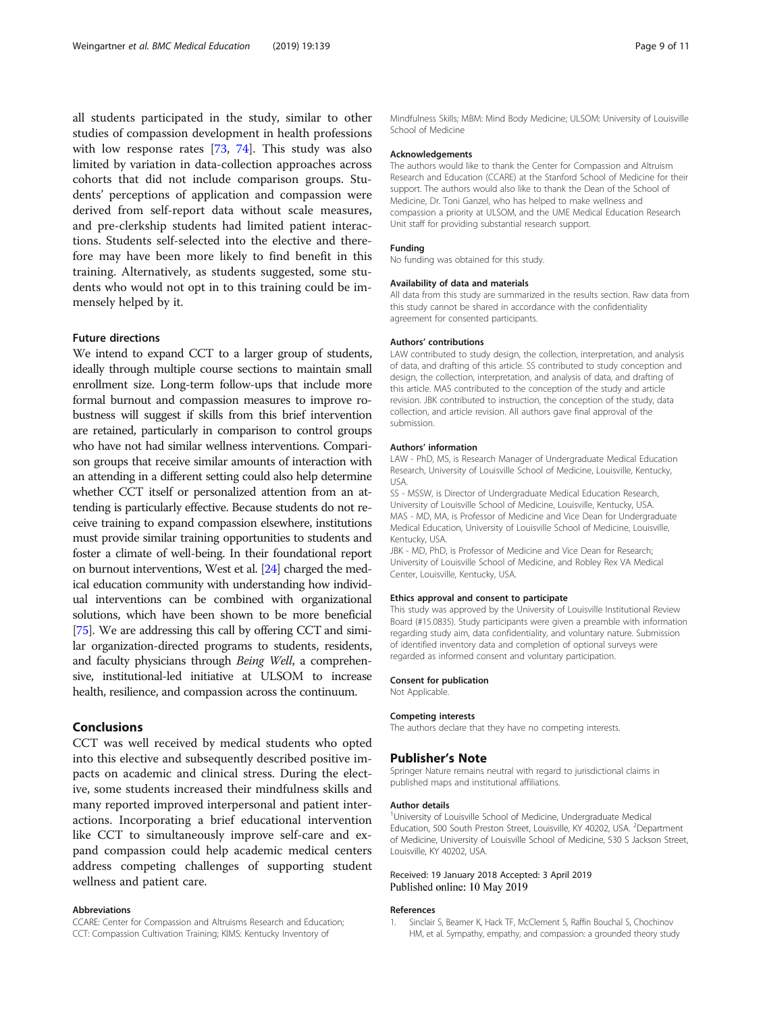<span id="page-8-0"></span>all students participated in the study, similar to other studies of compassion development in health professions with low response rates [\[73](#page-10-0), [74](#page-10-0)]. This study was also limited by variation in data-collection approaches across cohorts that did not include comparison groups. Students' perceptions of application and compassion were derived from self-report data without scale measures, and pre-clerkship students had limited patient interactions. Students self-selected into the elective and therefore may have been more likely to find benefit in this training. Alternatively, as students suggested, some students who would not opt in to this training could be immensely helped by it.

## Future directions

We intend to expand CCT to a larger group of students, ideally through multiple course sections to maintain small enrollment size. Long-term follow-ups that include more formal burnout and compassion measures to improve robustness will suggest if skills from this brief intervention are retained, particularly in comparison to control groups who have not had similar wellness interventions. Comparison groups that receive similar amounts of interaction with an attending in a different setting could also help determine whether CCT itself or personalized attention from an attending is particularly effective. Because students do not receive training to expand compassion elsewhere, institutions must provide similar training opportunities to students and foster a climate of well-being. In their foundational report on burnout interventions, West et al. [[24](#page-9-0)] charged the medical education community with understanding how individual interventions can be combined with organizational solutions, which have been shown to be more beneficial [[75](#page-10-0)]. We are addressing this call by offering CCT and similar organization-directed programs to students, residents, and faculty physicians through Being Well, a comprehensive, institutional-led initiative at ULSOM to increase health, resilience, and compassion across the continuum.

## Conclusions

CCT was well received by medical students who opted into this elective and subsequently described positive impacts on academic and clinical stress. During the elective, some students increased their mindfulness skills and many reported improved interpersonal and patient interactions. Incorporating a brief educational intervention like CCT to simultaneously improve self-care and expand compassion could help academic medical centers address competing challenges of supporting student wellness and patient care.

#### Abbreviations

CCARE: Center for Compassion and Altruisms Research and Education; CCT: Compassion Cultivation Training; KIMS: Kentucky Inventory of

Mindfulness Skills; MBM: Mind Body Medicine; ULSOM: University of Louisville School of Medicine

#### Acknowledgements

The authors would like to thank the Center for Compassion and Altruism Research and Education (CCARE) at the Stanford School of Medicine for their support. The authors would also like to thank the Dean of the School of Medicine, Dr. Toni Ganzel, who has helped to make wellness and compassion a priority at ULSOM, and the UME Medical Education Research Unit staff for providing substantial research support.

#### Funding

No funding was obtained for this study.

#### Availability of data and materials

All data from this study are summarized in the results section. Raw data from this study cannot be shared in accordance with the confidentiality agreement for consented participants.

#### Authors' contributions

LAW contributed to study design, the collection, interpretation, and analysis of data, and drafting of this article. SS contributed to study conception and design, the collection, interpretation, and analysis of data, and drafting of this article. MAS contributed to the conception of the study and article revision. JBK contributed to instruction, the conception of the study, data collection, and article revision. All authors gave final approval of the submission.

#### Authors' information

LAW - PhD, MS, is Research Manager of Undergraduate Medical Education Research, University of Louisville School of Medicine, Louisville, Kentucky, USA.

SS - MSSW, is Director of Undergraduate Medical Education Research, University of Louisville School of Medicine, Louisville, Kentucky, USA. MAS - MD, MA, is Professor of Medicine and Vice Dean for Undergraduate Medical Education, University of Louisville School of Medicine, Louisville, Kentucky, USA.

JBK - MD, PhD, is Professor of Medicine and Vice Dean for Research; University of Louisville School of Medicine, and Robley Rex VA Medical Center, Louisville, Kentucky, USA.

#### Ethics approval and consent to participate

This study was approved by the University of Louisville Institutional Review Board (#15.0835). Study participants were given a preamble with information regarding study aim, data confidentiality, and voluntary nature. Submission of identified inventory data and completion of optional surveys were regarded as informed consent and voluntary participation.

#### Consent for publication

Not Applicable.

### Competing interests

The authors declare that they have no competing interests.

#### Publisher's Note

Springer Nature remains neutral with regard to jurisdictional claims in published maps and institutional affiliations.

#### Author details

<sup>1</sup>University of Louisville School of Medicine, Undergraduate Medical Education, 500 South Preston Street, Louisville, KY 40202, USA. <sup>2</sup>Department of Medicine, University of Louisville School of Medicine, 530 S Jackson Street, Louisville, KY 40202, USA.

### Received: 19 January 2018 Accepted: 3 April 2019 Published online: 10 May 2019

#### References

1. Sinclair S, Beamer K, Hack TF, McClement S, Raffin Bouchal S, Chochinov HM, et al. Sympathy, empathy, and compassion: a grounded theory study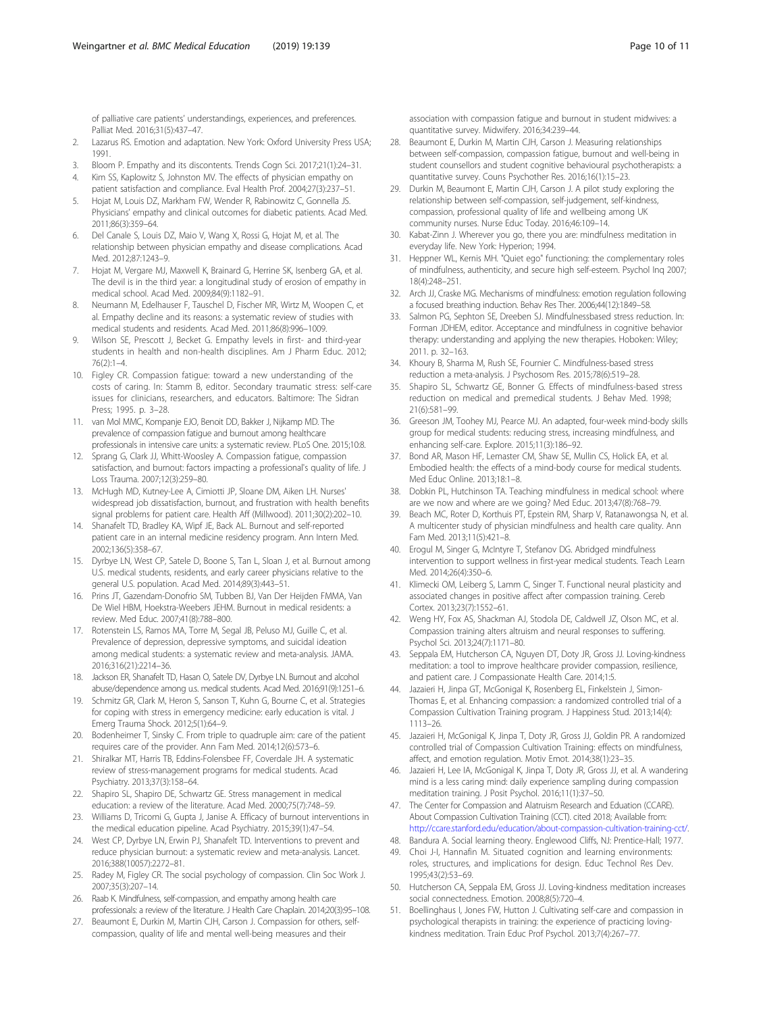<span id="page-9-0"></span>of palliative care patients' understandings, experiences, and preferences. Palliat Med. 2016;31(5):437–47.

- 2. Lazarus RS. Emotion and adaptation. New York: Oxford University Press USA; 1991.
- 3. Bloom P. Empathy and its discontents. Trends Cogn Sci. 2017;21(1):24–31. 4. Kim SS, Kaplowitz S, Johnston MV. The effects of physician empathy on
- patient satisfaction and compliance. Eval Health Prof. 2004;27(3):237–51. 5. Hojat M, Louis DZ, Markham FW, Wender R, Rabinowitz C, Gonnella JS. Physicians' empathy and clinical outcomes for diabetic patients. Acad Med.
- 2011;86(3):359–64. Del Canale S, Louis DZ, Maio V, Wang X, Rossi G, Hojat M, et al. The
- relationship between physician empathy and disease complications. Acad Med. 2012;87:1243–9. 7. Hojat M, Vergare MJ, Maxwell K, Brainard G, Herrine SK, Isenberg GA, et al.
- The devil is in the third year: a longitudinal study of erosion of empathy in medical school. Acad Med. 2009;84(9):1182–91.
- 8. Neumann M, Edelhauser F, Tauschel D, Fischer MR, Wirtz M, Woopen C, et al. Empathy decline and its reasons: a systematic review of studies with medical students and residents. Acad Med. 2011;86(8):996–1009.
- 9. Wilson SE, Prescott J, Becket G. Empathy levels in first- and third-year students in health and non-health disciplines. Am J Pharm Educ. 2012; 76(2):1–4.
- 10. Figley CR. Compassion fatigue: toward a new understanding of the costs of caring. In: Stamm B, editor. Secondary traumatic stress: self-care issues for clinicians, researchers, and educators. Baltimore: The Sidran Press; 1995. p. 3–28.
- 11. van Mol MMC, Kompanje EJO, Benoit DD, Bakker J, Nijkamp MD. The prevalence of compassion fatigue and burnout among healthcare professionals in intensive care units: a systematic review. PLoS One. 2015;10:8.
- 12. Sprang G, Clark JJ, Whitt-Woosley A. Compassion fatigue, compassion satisfaction, and burnout: factors impacting a professional's quality of life. J Loss Trauma. 2007;12(3):259–80.
- 13. McHugh MD, Kutney-Lee A, Cimiotti JP, Sloane DM, Aiken LH. Nurses' widespread job dissatisfaction, burnout, and frustration with health benefits signal problems for patient care. Health Aff (Millwood). 2011;30(2):202–10.
- 14. Shanafelt TD, Bradley KA, Wipf JE, Back AL. Burnout and self-reported patient care in an internal medicine residency program. Ann Intern Med. 2002;136(5):358–67.
- 15. Dyrbye LN, West CP, Satele D, Boone S, Tan L, Sloan J, et al. Burnout among U.S. medical students, residents, and early career physicians relative to the general U.S. population. Acad Med. 2014;89(3):443–51.
- 16. Prins JT, Gazendam-Donofrio SM, Tubben BJ, Van Der Heijden FMMA, Van De Wiel HBM, Hoekstra-Weebers JEHM. Burnout in medical residents: a review. Med Educ. 2007;41(8):788–800.
- 17. Rotenstein LS, Ramos MA, Torre M, Segal JB, Peluso MJ, Guille C, et al. Prevalence of depression, depressive symptoms, and suicidal ideation among medical students: a systematic review and meta-analysis. JAMA. 2016;316(21):2214–36.
- 18. Jackson ER, Shanafelt TD, Hasan O, Satele DV, Dyrbye LN. Burnout and alcohol abuse/dependence among u.s. medical students. Acad Med. 2016;91(9):1251–6.
- 19. Schmitz GR, Clark M, Heron S, Sanson T, Kuhn G, Bourne C, et al. Strategies for coping with stress in emergency medicine: early education is vital. J Emerg Trauma Shock. 2012;5(1):64–9.
- 20. Bodenheimer T, Sinsky C. From triple to quadruple aim: care of the patient requires care of the provider. Ann Fam Med. 2014;12(6):573–6.
- 21. Shiralkar MT, Harris TB, Eddins-Folensbee FF, Coverdale JH. A systematic review of stress-management programs for medical students. Acad Psychiatry. 2013;37(3):158–64.
- 22. Shapiro SL, Shapiro DE, Schwartz GE. Stress management in medical education: a review of the literature. Acad Med. 2000;75(7):748–59.
- 23. Williams D, Tricomi G, Gupta J, Janise A. Efficacy of burnout interventions in the medical education pipeline. Acad Psychiatry. 2015;39(1):47–54.
- 24. West CP, Dyrbye LN, Erwin PJ, Shanafelt TD. Interventions to prevent and reduce physician burnout: a systematic review and meta-analysis. Lancet. 2016;388(10057):2272–81.
- 25. Radey M, Figley CR. The social psychology of compassion. Clin Soc Work J. 2007;35(3):207–14.
- 26. Raab K. Mindfulness, self-compassion, and empathy among health care professionals: a review of the literature. J Health Care Chaplain. 2014;20(3):95–108.
- 27. Beaumont E, Durkin M, Martin CJH, Carson J. Compassion for others, selfcompassion, quality of life and mental well-being measures and their

association with compassion fatigue and burnout in student midwives: a quantitative survey. Midwifery. 2016;34:239–44.

- 28. Beaumont E, Durkin M, Martin CJH, Carson J. Measuring relationships between self-compassion, compassion fatigue, burnout and well-being in student counsellors and student cognitive behavioural psychotherapists: a quantitative survey. Couns Psychother Res. 2016;16(1):15–23.
- 29. Durkin M, Beaumont E, Martin CJH, Carson J. A pilot study exploring the relationship between self-compassion, self-judgement, self-kindness, compassion, professional quality of life and wellbeing among UK community nurses. Nurse Educ Today. 2016;46:109–14.
- 30. Kabat-Zinn J. Wherever you go, there you are: mindfulness meditation in everyday life. New York: Hyperion; 1994.
- 31. Heppner WL, Kernis MH. "Quiet ego" functioning: the complementary roles of mindfulness, authenticity, and secure high self-esteem. Psychol Inq 2007; 18(4):248–251.
- 32. Arch JJ, Craske MG. Mechanisms of mindfulness: emotion regulation following a focused breathing induction. Behav Res Ther. 2006;44(12):1849–58.
- 33. Salmon PG, Sephton SE, Dreeben SJ. Mindfulnessbased stress reduction. In: Forman JDHEM, editor. Acceptance and mindfulness in cognitive behavior therapy: understanding and applying the new therapies. Hoboken: Wiley; 2011. p. 32–163.
- 34. Khoury B, Sharma M, Rush SE, Fournier C. Mindfulness-based stress reduction a meta-analysis. J Psychosom Res. 2015;78(6):519–28.
- 35. Shapiro SL, Schwartz GE, Bonner G. Effects of mindfulness-based stress reduction on medical and premedical students. J Behav Med. 1998; 21(6):581–99.
- 36. Greeson JM, Toohey MJ, Pearce MJ. An adapted, four-week mind-body skills group for medical students: reducing stress, increasing mindfulness, and enhancing self-care. Explore. 2015;11(3):186–92.
- 37. Bond AR, Mason HF, Lemaster CM, Shaw SE, Mullin CS, Holick EA, et al. Embodied health: the effects of a mind-body course for medical students. Med Educ Online. 2013;18:1–8.
- 38. Dobkin PL, Hutchinson TA. Teaching mindfulness in medical school: where are we now and where are we going? Med Educ. 2013;47(8):768–79.
- 39. Beach MC, Roter D, Korthuis PT, Epstein RM, Sharp V, Ratanawongsa N, et al. A multicenter study of physician mindfulness and health care quality. Ann Fam Med. 2013;11(5):421–8.
- 40. Erogul M, Singer G, McIntyre T, Stefanov DG. Abridged mindfulness intervention to support wellness in first-year medical students. Teach Learn Med. 2014;26(4):350–6.
- 41. Klimecki OM, Leiberg S, Lamm C, Singer T. Functional neural plasticity and associated changes in positive affect after compassion training. Cereb Cortex. 2013;23(7):1552–61.
- 42. Weng HY, Fox AS, Shackman AJ, Stodola DE, Caldwell JZ, Olson MC, et al. Compassion training alters altruism and neural responses to suffering. Psychol Sci. 2013;24(7):1171–80.
- 43. Seppala EM, Hutcherson CA, Nguyen DT, Doty JR, Gross JJ. Loving-kindness meditation: a tool to improve healthcare provider compassion, resilience, and patient care. J Compassionate Health Care. 2014;1:5.
- 44. Jazaieri H, Jinpa GT, McGonigal K, Rosenberg EL, Finkelstein J, Simon-Thomas E, et al. Enhancing compassion: a randomized controlled trial of a Compassion Cultivation Training program. J Happiness Stud. 2013;14(4): 1113–26.
- 45. Jazaieri H, McGonigal K, Jinpa T, Doty JR, Gross JJ, Goldin PR. A randomized controlled trial of Compassion Cultivation Training: effects on mindfulness, affect, and emotion regulation. Motiv Emot. 2014;38(1):23–35.
- 46. Jazaieri H, Lee IA, McGonigal K, Jinpa T, Doty JR, Gross JJ, et al. A wandering mind is a less caring mind: daily experience sampling during compassion meditation training. J Posit Psychol. 2016;11(1):37–50.
- 47. The Center for Compassion and Alatruism Research and Eduation (CCARE). About Compassion Cultivation Training (CCT). cited 2018; Available from: [http://ccare.stanford.edu/education/about-compassion-cultivation-training-cct/.](http://ccare.stanford.edu/education/about-compassion-cultivation-training-cct/)
- 48. Bandura A. Social learning theory. Englewood Cliffs, NJ: Prentice-Hall; 1977.
- 49. Choi J-I, Hannafin M. Situated cognition and learning environments: roles, structures, and implications for design. Educ Technol Res Dev. 1995;43(2):53–69.
- 50. Hutcherson CA, Seppala EM, Gross JJ. Loving-kindness meditation increases social connectedness. Emotion. 2008;8(5):720–4.
- 51. Boellinghaus I, Jones FW, Hutton J. Cultivating self-care and compassion in psychological therapists in training: the experience of practicing lovingkindness meditation. Train Educ Prof Psychol. 2013;7(4):267–77.